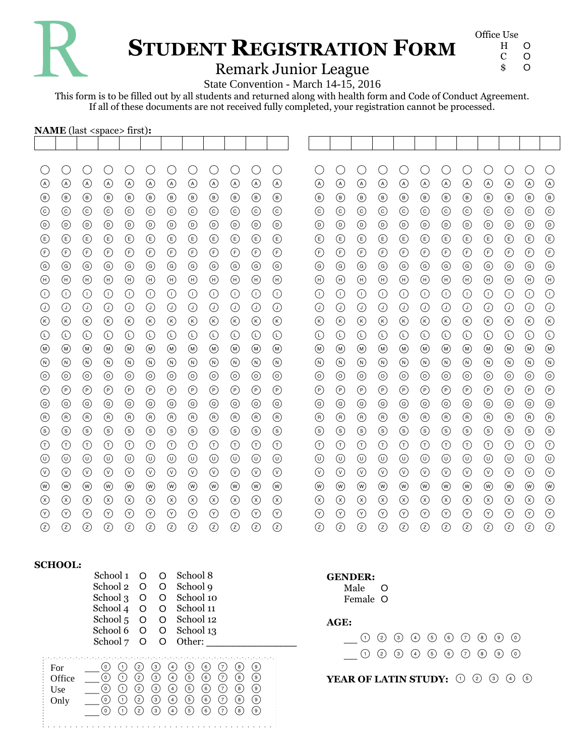

# **STUDENT REGISTRATION FORM**

| Office Use |   |
|------------|---|
| н          | O |
| C          | O |
| \$         | O |
|            |   |

### Remark Junior League

State Convention - March 14-15, 2016

This form is to be filled out by all students and returned along with health form and Code of Conduct Agreement. If all of these documents are not received fully completed, your registration cannot be processed.

| <b>NAME</b> (last <space> first):</space> |                 |                 |                                |                                |                                |                 |                                |                                   |                 |                 |                                |                                |                                |                                |                 |                 |                                |                                |                                |                 |                 |                 |                |
|-------------------------------------------|-----------------|-----------------|--------------------------------|--------------------------------|--------------------------------|-----------------|--------------------------------|-----------------------------------|-----------------|-----------------|--------------------------------|--------------------------------|--------------------------------|--------------------------------|-----------------|-----------------|--------------------------------|--------------------------------|--------------------------------|-----------------|-----------------|-----------------|----------------|
|                                           |                 |                 |                                |                                |                                |                 |                                |                                   |                 |                 |                                |                                |                                |                                |                 |                 |                                |                                |                                |                 |                 |                 |                |
| O                                         | O               | С               | О                              | О                              | О                              | О               | О                              | О                                 | О               | O               | O                              | O                              | O                              | O                              | O               | O               | O                              | O                              | O                              | C               | O               | O               | C              |
| $\circledcirc$                            | $\odot$         | $\odot$         | $\odot$                        | $\odot$                        | $\odot$                        | $\odot$         | $\odot$                        | $\odot$                           | $\odot$         | $\circledcirc$  | $\circledcirc$                 | $\circledcirc$                 | $\circledcirc$                 | $\circledcirc$                 | $\odot$         | $\odot$         | $\odot$                        | $\odot$                        | $\odot$                        | $\odot$         | $\odot$         | $\circledcirc$  | $\odot$        |
| $^{\circledR}$                            | $^{\circledR}$  | $^{\circledR}$  | $^{\circledR}$                 | $^{\circledR}$                 | $^{\circledR}$                 | $^{\circledR}$  | $^{\circledR}$                 | $^{\circledR}$                    | $^{\circledR}$  | $^{\circledR}$  | $^\circledR$                   | $^{\circledR}$                 | $^{\circledR}$                 | $^{\circledR}$                 | $^{\circledR}$  | $^{\circledR}$  | $^{\circledR}$                 | $^{\circledR}$                 | $^{\circledR}$                 | $^{\circledR}$  | $^{\circledR}$  | $^{\circledR}$  | $^{\circledR}$ |
| $_{\odot}$                                | $\odot$         | $\odot$         | $\odot$                        | $\odot$                        | $\odot$                        | $\odot$         | $\odot$                        | $_{\odot}$                        | $\odot$         | $\odot$         | $_{\odot}$                     | $_{\odot}$                     | $_{\odot}$                     | $_{\odot}$                     | $\odot$         | $_{\odot}$      | $\odot$                        | $_{\odot}$                     | $\odot$                        | $\odot$         | $_{\odot}$      | $\odot$         | $\odot$        |
| $_{\textcircled{\scriptsize{1}}}$         | $^{\copyright}$ | $^{\copyright}$ | $^{\copyright}$                | $^{\copyright}$                | $^{\copyright}$                | $^{\copyright}$ | $^{\copyright}$                | $_{\textcircled{\scriptsize{1}}}$ | $^{\circ}$      | $^{\copyright}$ | $^{\copyright}$                | $^{\copyright}$                | $^{\copyright}$                | $^{\copyright}$                | $^{\circ}$      | $^{\circ}$      | $^{\copyright}$                | $^{\copyright}$                | $^{\copyright}$                | $\odot$         | $^{\copyright}$ | $^{\copyright}$ | $\circledcirc$ |
| $^{\circledR}$                            | $\circlede$     | $\circlede$     | $\circlede$                    | $\circlede$                    | $\bigcirc$                     | $\bigcirc$      | $\circlede$                    | $\bigcirc$                        | $\circlede$     | $^{\circledR}$  | ⊕                              | $^{\circledR}$                 | $^{\circledR}$                 | ⊕                              | $\circlede$     | ⊕               | $\bigcirc$                     | ⊕                              | $\bigcirc$                     | $\circlede$     | $\circlede$     | $^{\circledR}$  | $\bigcirc$     |
| $^{\circledR}$                            | $\bigodot$      | $\bigodot$      | $\bigodot$                     | $\bigodot$                     | $\bigodot$                     | $\bigodot$      | $\bigodot$                     | $\bigodot$                        | $\bigodot$      | $\bigodot$      | $\bigodot$                     | $\bigodot$                     | $\bigodot$                     | $\bigodot$                     | $\bigodot$      | $\bigodot$      | $\bigodot$                     | $\bigodot$                     | $\bigodot$                     | $\bigodot$      | $\bigodot$      | $\bigodot$      | $\bigodot$     |
| $_{\copyright}$                           | $\odot$         | $\circledcirc$  | $\odot$                        | $\odot$                        | $\odot$                        | $\odot$         | $\odot$                        | $\circledcirc$                    | $\odot$         | $\odot$         | $\circledcirc$                 | $\circledcirc$                 | $\circledcirc$                 | $\circledcirc$                 | $\odot$         | $\odot$         | $\odot$                        | $\circledcirc$                 | $\odot$                        | $\odot$         | $\odot$         | $\odot$         | $\odot$        |
| $\textcircled{\scriptsize{H}}$            | $\bigoplus$     | $\bigoplus$     | $\textcircled{\scriptsize{H}}$ | $\textcircled{\scriptsize{H}}$ | $\textcircled{\scriptsize{H}}$ | $\bigoplus$     | $\textcircled{\scriptsize{H}}$ | $\bigoplus$                       | $\bigoplus$     | $\bigoplus$     | $\textcircled{\scriptsize{H}}$ | $\textcircled{\scriptsize{H}}$ | $\textcircled{\scriptsize{H}}$ | $\textcircled{\scriptsize{H}}$ | $\bigoplus$     | $\bigoplus$     | $\textcircled{\scriptsize{H}}$ | $\textcircled{\scriptsize{H}}$ | $\textcircled{\scriptsize{H}}$ | $\bigoplus$     | $\bigoplus$     | $\bigoplus$     | $\bigoplus$    |
| $\odot$                                   | $\odot$         | $\odot$         | $\odot$                        | $\odot$                        | $\odot$                        | $\odot$         | $\odot$                        | $\odot$                           | $\odot$         | $\odot$         | $\odot$                        | $\odot$                        | $\odot$                        | $\odot$                        | $\odot$         | $\odot$         | $\odot$                        | $\odot$                        | $\odot$                        | $\odot$         | $\odot$         | $\odot$         | $\odot$        |
| $\odot$                                   | $\odot$         | $\odot$         | $\odot$                        | $\odot$                        | $\odot$                        | $\odot$         | $\odot$                        | $\odot$                           | $\odot$         | $\odot$         | $\odot$                        | $\odot$                        | $\odot$                        | $\odot$                        | $\odot$         | $\odot$         | $\odot$                        | $\odot$                        | $\odot$                        | $\odot$         | $\odot$         | $\odot$         | $\odot$        |
| $^{\circledR}$                            | $\circledR$     | $\circledR$     | $^{\circledR}$                 | $^{\circledR}$                 | $\circledR$                    | $\circledR$     | $^{\circledR}$                 | $\circledR$                       | $\circledR$     | $\circledR$     | $^{\circledR}$                 | $^{\circledR}$                 | $^{\circledR}$                 | $^{\circledR}$                 | $^{\circledR}$  | $\circledR$     | $\circledR$                    | $\circledR$                    | $\circledR$                    | $^{\circledR}$  | $\circledR$     | $^{\circledR}$  | $\circledR$    |
| $\odot$                                   | $\odot$         | $\odot$         | $\odot$                        | $\odot$                        | $\odot$                        | $\odot$         | $\odot$                        | $\odot$                           | $\odot$         | $\odot$         | $\odot$                        | $\odot$                        | $\odot$                        | $\odot$                        | $\odot$         | $\odot$         | $\odot$                        | $\odot$                        | $\odot$                        | $\odot$         | $\odot$         | $\odot$         | $\bigcirc$     |
| $^{\circledR}$                            | $\circledR$     | $\circledR$     | $^{\circledR}$                 | $^{\circledR}$                 | $\circledR$                    | $\circledR$     | $^{\circledR}$                 | $\circledR$                       | $^{\circledR}$  | $^{\circledR}$  | $^{\circledR}$                 | $\circledR$                    | $\circledR$                    | $\circledR$                    | $\circledR$     | $\circledR$     | $^{\circledR}$                 | $\circledR$                    | $\circledR$                    | $\circledR$     | $\circledR$     | $^{\circledR}$  | $\circledR$    |
| $^{\circledR}$                            | $\circledcirc$  | $\circledR$     | $^{\circledR}$                 | $\circledcirc$                 | $^{\circledR}$                 | $\circledcirc$  | $\circledcirc$                 | $^{\circledR}$                    | $\circledcirc$  | $\circledcirc$  | $^{\circledR}$                 | $^{\circledR}$                 | $^{\circledR}$                 | $^{\circledR}$                 | $^{\circledR}$  | $\circledcirc$  | $^{\circledR}$                 | $^{\circledR}$                 | $^{\circledR}$                 | $^{\circledR}$  | $\circledcirc$  | $^{\circledR}$  | $\circledR$    |
| $_{\odot}$                                | $\odot$         | $\odot$         | $\odot$                        | $\odot$                        | $\odot$                        | $\odot$         | $\circledcirc$                 | $_{\odot}$                        | $\odot$         | $\circledcirc$  | $_{\odot}$                     | $\circledcirc$                 | $\circledcirc$                 | $\circledcirc$                 | $\odot$         | $\odot$         | $\odot$                        | $_{\odot}$                     | $\odot$                        | $\odot$         | $\odot$         | $\circledcirc$  | $\odot$        |
| $^{\copyright}$                           | $^{\circ}$      | $^{\circ}$      | $^{\circ}$                     | $^{\circ}$                     | $^{\circ}$                     | $^{\circ}$      | $^{\circledR}$                 | $^{\circ}$                        | $^{\circledR}$  | $^{\circledR}$  | $^{\copyright}$                | $^{\circledR}$                 | $^{\circledR}$                 | $^{\circledR}$                 | $^{\circ}$      | $^{\copyright}$ | $^{\circ}$                     | $^{\copyright}$                | $^{\circ}$                     | $^{\circ}$      | $^{\circ}$      | $^{\copyright}$ | $\odot$        |
| $^{\copyright}$                           | $\circledcirc$  | $^{\copyright}$ | $^{\copyright}$                | $^{\copyright}$                | $\circledcirc$                 | $\circledcirc$  | $^{\copyright}$                | $_{\copyright}$                   | $^{\copyright}$ | $^{\copyright}$ | $_{\copyright}$                | $^{\copyright}$                | $_{\odot}$                     | $^{\copyright}$                | $^{\copyright}$ | $\circledcirc$  | $^{\copyright}$                | $^{\copyright}$                | $\circledcirc$                 | $^{\copyright}$ | $\circledcirc$  | $^{\copyright}$ | $\circledcirc$ |
| $^{\circledR}$                            | $\bigcirc$      | $^{\circledR}$  | $^{\circledR}$                 | $^{\circledR}$                 | $^{\circledR}$                 | $^{\circledR}$  | $^{\circledR}$                 | $^{\circledR}$                    | $^{\circledR}$  | $^{\circledR}$  | $^{\circledR}$                 | $^{\circledR}$                 | $^{\circledR}$                 | $^{\circledR}$                 | $^{\circledR}$  | $^{\circledR}$  | $^{\circledR}$                 | $^{\circledR}$                 | $^{\circledR}$                 | $^{\circledR}$  | $\bigcirc$      | $^{\circledR}$  | $\bigcirc$     |
| $\circledS$                               | $\circledS$     | $\circledS$     | $\circledS$                    | $\circledS$                    | $\circledS$                    | $\circledS$     | $\circledS$                    | $\circledS$                       | $\circledS$     | $\circledS$     | $\circledS$                    | $\circledS$                    | $\circledS$                    | $\circledS$                    | $\circledS$     | $\circledS$     | $\circledS$                    | $\circledS$                    | $\circledS$                    | $\circledS$     | $\circledS$     | $\circledS$     | $\circledS$    |
| $^\copyright$                             | $\odot$         | $\odot$         | $\odot$                        | $\odot$                        | $\odot$                        | $\odot$         | $\odot$                        | $\odot$                           | $\odot$         | $\odot$         | $\odot$                        | $\odot$                        | $\odot$                        | $\odot$                        | $\odot$         | $\odot$         | $\odot$                        | $\odot$                        | $\odot$                        | $\odot$         | $\odot$         | $\odot$         | $\odot$        |
| $_{\copyright}$                           | $\circledcirc$  | $\circledcirc$  | $\circledcirc$                 | $^{\circledR}$                 | $^{\circledR}$                 | $^{\copyright}$ | $^{\copyright}$                | $\circledcirc$                    | $^{\circledR}$  | $^{\circledR}$  | $^\copyright$                  | $^{\copyright}$                | $^{\copyright}$                | $^{\copyright}$                | $\circledcirc$  | $\circledcirc$  | $^{\copyright}$                | $\circledcirc$                 | $^{\circledR}$                 | $\circledcirc$  | $^{\circledR}$  | $^{\circledR}$  | $\circledcirc$ |
| $\circledcirc$                            | $\circledcirc$  | $\circledcirc$  | $\circledcirc$                 | $_{\odot}$                     | $\circledcirc$                 | $\circledcirc$  | $_{\odot}$                     | $\circledcirc$                    | $\circledcirc$  | $\circledcirc$  | $\circledcirc$                 | $\circledcirc$                 | $\circledcirc$                 | $\circledcirc$                 | $\circledcirc$  | $\circledcirc$  | $_{\odot}$                     | $_{\odot}$                     | $\circledcirc$                 | $\circledcirc$  | $_{\odot}$      | $^\copyright$   | $\circledcirc$ |
| ⊛                                         | $^{\circledR}$  | $^{\circledR}$  | $^{\circledR}$                 | $^{\circledR}$                 | $^{\circledR}$                 | $^{\circledR}$  | $^{\circledR}$                 | $^\circledR$                      | $^{\circledR}$  | $^{\circledR}$  | $^\circledR$                   | $^{\circledR}$                 | $^{\circledR}$                 | $^{\circledR}$                 | $^{\circledR}$  | $^{\circledR}$  | $^{\circledR}$                 | $^{\circledR}$                 | $^{\circledR}$                 | $^{\circledR}$  | $^{\circledR}$  | $^{\circledR}$  | $^{\circledR}$ |
| $\circledcirc$                            | $^\circledR$    | $\circledcirc$  | $\circledcirc$                 | $\circledcirc$                 | $\circledcirc$                 | $\circledcirc$  | ⊗                              | $\circledcirc$                    | $\circledcirc$  | $\circledcirc$  | $^\circledR$                   | $\circledcirc$                 | $\circledcirc$                 | $\circledcirc$                 | $\circledcirc$  | $\circledcirc$  | $\circledcirc$                 | $\circledcirc$                 | $\circledcirc$                 | $\circledcirc$  | $\circledcirc$  | $\circledcirc$  | $\circledcirc$ |
| $\odot$                                   | $\odot$         | $\odot$         | $\odot$                        | $\odot$                        | $\odot$                        | $\odot$         | $\odot$                        | $^\circledR$                      | $\odot$         | $\odot$         | $\odot$                        | $\odot$                        | $\odot$                        | $\odot$                        | $\odot$         | $\odot$         | $^\circledR$                   | $\odot$                        | $\odot$                        | $\odot$         | $\odot$         | $\odot$         | $\odot$        |
| $\circled{z}$                             | $\circled{z}$   | $\circled{z}$   | $\circled{z}$                  | $\circled{z}$                  | $\circled{z}$                  | $\circled{z}$   | $\circled{z}$                  | $\circled{z}$                     | $\circledS$     | $\circled{z}$   | $\circledS$                    | $\circled{z}$                  | $\circled{z}$                  | $\circled{z}$                  | $\circled{z}$   | $\circled{z}$   | $\circled{z}$                  | $\circled{z}$                  | $\circledS$                    | $\circled{z}$   | $\circled{z}$   | $\circled{z}$   | $\circled{z}$  |

#### **SCHOOL:**

|                              | School 1<br>School 2<br>School 3<br>School 4<br>School 5<br>School 6<br>School 7 | O<br>O<br>O<br>O<br>O<br>O<br>O            | O<br>O<br>O<br>$\Omega$<br>O<br>O<br>∩                                | School 8<br>School 9<br>School 10<br>School 11<br>School 12<br>School 13<br>Other:                                                                                                                                                             |  |
|------------------------------|----------------------------------------------------------------------------------|--------------------------------------------|-----------------------------------------------------------------------|------------------------------------------------------------------------------------------------------------------------------------------------------------------------------------------------------------------------------------------------|--|
| For<br>Office<br>Use<br>Only | $\circ$<br>0)<br>(1)<br>$\left( 0\right)$<br>(1)<br>0)<br>(1)<br>(1)<br>່0)      | $\overline{c}$<br>(2)<br>(2)<br>(2)<br>(2) | $\left(3\right)$<br>$\overline{4}$<br>(3)<br>(3)<br>(3)<br>(з)<br>(4) | $\left[5\right]$<br>[6]<br>َ و<br>$\mathbf{8}$<br>$\frac{1}{\sqrt{2}}$<br>(5)<br>(e)<br>(7)<br>(8)<br>( ၁ )<br>(4)<br>(5)<br>(6)<br>(8)<br>(7)<br>۰ و.<br>(4)<br>(5)<br>(e)<br>(7)<br>(8)<br>( ၁ )<br>(4)<br>(5)<br>(6)<br>(7)<br>(8)<br>( ၄ ` |  |

### **GENDER:**

Male O Female O

#### **AGE:**

|  |  |  |  | $(1) 2 3 4 5 6 7 8 9 0$ |  |
|--|--|--|--|-------------------------|--|
|  |  |  |  | $(1) 2 3 4 5 6 7 8 9 0$ |  |

YEAR OF LATIN STUDY:  $\odot$   $\odot$   $\odot$   $\odot$   $\odot$